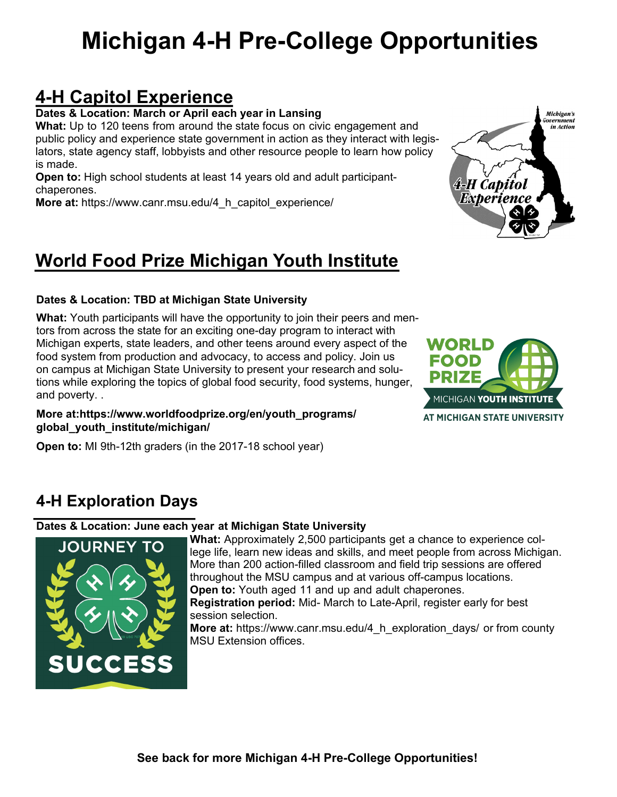# **Michigan 4-H Pre-College Opportunities**

## **4-H Capitol Experience**

**Dates & Location: March or April each year in Lansing**

**What:** Up to 120 teens from around the state focus on civic engagement and public policy and experience state government in action as they interact with legislators, state agency staff, lobbyists and other resource people to learn how policy is made.

**Open to:** High school students at least 14 years old and adult participantchaperones.

**More at:** https://www.canr.msu.edu/4 h capitol experience/

## **World Food Prize Michigan Youth Institute**

#### **Dates & Location: TBD at Michigan State University**

**What:** Youth participants will have the opportunity to join their peers and mentors from across the state for an exciting one-day program to interact with Michigan experts, state leaders, and other teens around every aspect of the food system from production and advocacy, to access and policy. Join us on campus at Michigan State University to present your research and solutions while exploring the topics of global food security, food systems, hunger, and poverty. .

#### **More at:https://www.worldfoodprize.org/en/youth\_programs/ global\_youth\_institute/michigan/**

**Open to:** MI 9th-12th graders (in the 2017-18 school year)

### **4-H Exploration Days**

#### **Dates & Location: June each year at Michigan State University**



**What:** Approximately 2,500 participants get a chance to experience college life, learn new ideas and skills, and meet people from across Michigan. More than 200 action-filled classroom and field trip sessions are offered throughout the MSU campus and at various off-campus locations. **Open to:** Youth aged 11 and up and adult chaperones. **Registration period:** Mid- March to Late-April, register early for best

session selection. **More at:** https://www.canr.msu.edu/4 h exploration days/ or from county MSU Extension offices.